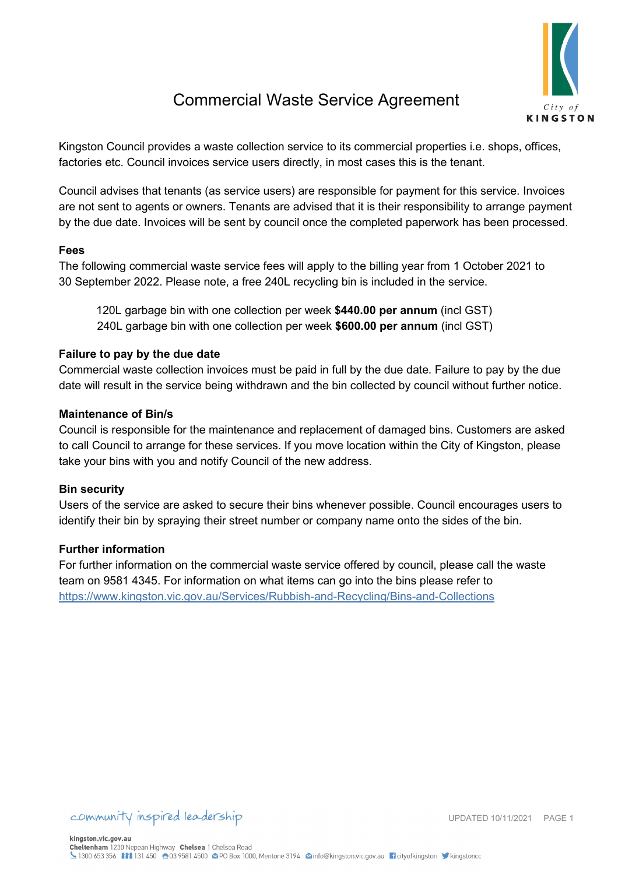

## Commercial Waste Service Agreement

Kingston Council provides a waste collection service to its commercial properties i.e. shops, offices, factories etc. Council invoices service users directly, in most cases this is the tenant.

Council advises that tenants (as service users) are responsible for payment for this service. Invoices are not sent to agents or owners. Tenants are advised that it is their responsibility to arrange payment by the due date. Invoices will be sent by council once the completed paperwork has been processed.

## **Fees**

The following commercial waste service fees will apply to the billing year from 1 October 2021 to 30 September 2022. Please note, a free 240L recycling bin is included in the service.

120L garbage bin with one collection per week **\$440.00 per annum** (incl GST) 240L garbage bin with one collection per week **\$600.00 per annum** (incl GST)

## **Failure to pay by the due date**

Commercial waste collection invoices must be paid in full by the due date. Failure to pay by the due date will result in the service being withdrawn and the bin collected by council without further notice.

#### **Maintenance of Bin/s**

Council is responsible for the maintenance and replacement of damaged bins. Customers are asked to call Council to arrange for these services. If you move location within the City of Kingston, please take your bins with you and notify Council of the new address.

#### **Bin security**

Users of the service are asked to secure their bins whenever possible. Council encourages users to identify their bin by spraying their street number or company name onto the sides of the bin.

#### **Further information**

For further information on the commercial waste service offered by council, please call the waste team on 9581 4345. For information on what items can go into the bins please refer to <https://www.kingston.vic.gov.au/Services/Rubbish-and-Recycling/Bins-and-Collections>